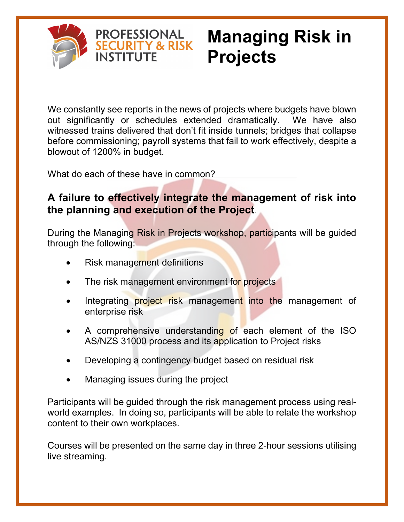

# **Managing Risk in Projects**

We constantly see reports in the news of projects where budgets have blown out significantly or schedules extended dramatically. We have also witnessed trains delivered that don't fit inside tunnels; bridges that collapse before commissioning; payroll systems that fail to work effectively, despite a blowout of 1200% in budget.

What do each of these have in common?

**PROFESSIONAL SECURITY & RISK** 

**INSTITUTE** 

#### **A failure to effectively integrate the management of risk into the planning and execution of the Project**.

During the Managing Risk in Projects workshop, participants will be guided through the following:

- Risk management definitions
- The risk management environment for projects
- Integrating **project risk** management into the management of enterprise risk
- A comprehensive understanding of each element of the ISO AS/NZS 31000 process and its application to Project risks
- Developing a contingency budget based on residual risk
- Managing issues during the project

Participants will be guided through the risk management process using realworld examples. In doing so, participants will be able to relate the workshop content to their own workplaces.

Courses will be presented on the same day in three 2-hour sessions utilising live streaming.